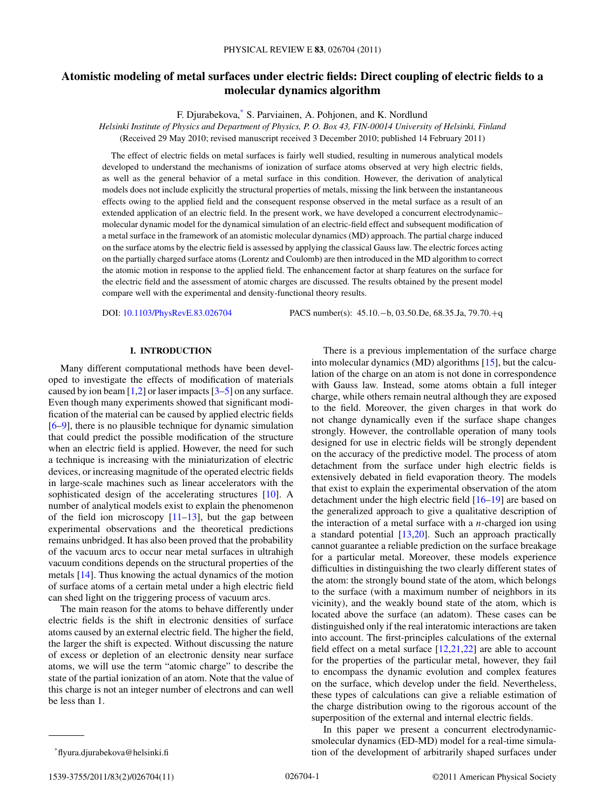# **Atomistic modeling of metal surfaces under electric fields: Direct coupling of electric fields to a molecular dynamics algorithm**

F. Djurabekova,\* S. Parviainen, A. Pohjonen, and K. Nordlund

*Helsinki Institute of Physics and Department of Physics, P. O. Box 43, FIN-00014 University of Helsinki, Finland* (Received 29 May 2010; revised manuscript received 3 December 2010; published 14 February 2011)

The effect of electric fields on metal surfaces is fairly well studied, resulting in numerous analytical models developed to understand the mechanisms of ionization of surface atoms observed at very high electric fields, as well as the general behavior of a metal surface in this condition. However, the derivation of analytical models does not include explicitly the structural properties of metals, missing the link between the instantaneous effects owing to the applied field and the consequent response observed in the metal surface as a result of an extended application of an electric field. In the present work, we have developed a concurrent electrodynamic– molecular dynamic model for the dynamical simulation of an electric-field effect and subsequent modification of a metal surface in the framework of an atomistic molecular dynamics (MD) approach. The partial charge induced on the surface atoms by the electric field is assessed by applying the classical Gauss law. The electric forces acting on the partially charged surface atoms (Lorentz and Coulomb) are then introduced in the MD algorithm to correct the atomic motion in response to the applied field. The enhancement factor at sharp features on the surface for the electric field and the assessment of atomic charges are discussed. The results obtained by the present model compare well with the experimental and density-functional theory results.

DOI: [10.1103/PhysRevE.83.026704](http://dx.doi.org/10.1103/PhysRevE.83.026704) PACS number(s): 45*.*10*.*−b, 03*.*50*.*De, 68*.*35*.*Ja, 79*.*70*.*+q

## **I. INTRODUCTION**

Many different computational methods have been developed to investigate the effects of modification of materials caused by ion beam  $[1,2]$  or laser impacts  $[3-5]$  on any surface. Even though many experiments showed that significant modification of the material can be caused by applied electric fields [\[6–9\]](#page-9-0), there is no plausible technique for dynamic simulation that could predict the possible modification of the structure when an electric field is applied. However, the need for such a technique is increasing with the miniaturization of electric devices, or increasing magnitude of the operated electric fields in large-scale machines such as linear accelerators with the sophisticated design of the accelerating structures [\[10\]](#page-9-0). A number of analytical models exist to explain the phenomenon of the field ion microscopy  $[11-13]$ , but the gap between experimental observations and the theoretical predictions remains unbridged. It has also been proved that the probability of the vacuum arcs to occur near metal surfaces in ultrahigh vacuum conditions depends on the structural properties of the metals [\[14\]](#page-9-0). Thus knowing the actual dynamics of the motion of surface atoms of a certain metal under a high electric field can shed light on the triggering process of vacuum arcs.

The main reason for the atoms to behave differently under electric fields is the shift in electronic densities of surface atoms caused by an external electric field. The higher the field, the larger the shift is expected. Without discussing the nature of excess or depletion of an electronic density near surface atoms, we will use the term "atomic charge" to describe the state of the partial ionization of an atom. Note that the value of this charge is not an integer number of electrons and can well be less than 1.

There is a previous implementation of the surface charge into molecular dynamics (MD) algorithms [\[15\]](#page-9-0), but the calculation of the charge on an atom is not done in correspondence with Gauss law. Instead, some atoms obtain a full integer charge, while others remain neutral although they are exposed to the field. Moreover, the given charges in that work do not change dynamically even if the surface shape changes strongly. However, the controllable operation of many tools designed for use in electric fields will be strongly dependent on the accuracy of the predictive model. The process of atom detachment from the surface under high electric fields is extensively debated in field evaporation theory. The models that exist to explain the experimental observation of the atom detachment under the high electric field [\[16–19\]](#page-9-0) are based on the generalized approach to give a qualitative description of the interaction of a metal surface with a *n*-charged ion using a standard potential [\[13,20\]](#page-9-0). Such an approach practically cannot guarantee a reliable prediction on the surface breakage for a particular metal. Moreover, these models experience difficulties in distinguishing the two clearly different states of the atom: the strongly bound state of the atom, which belongs to the surface (with a maximum number of neighbors in its vicinity), and the weakly bound state of the atom, which is located above the surface (an adatom). These cases can be distinguished only if the real interatomic interactions are taken into account. The first-principles calculations of the external field effect on a metal surface  $[12,21,22]$  are able to account for the properties of the particular metal, however, they fail to encompass the dynamic evolution and complex features on the surface, which develop under the field. Nevertheless, these types of calculations can give a reliable estimation of the charge distribution owing to the rigorous account of the superposition of the external and internal electric fields.

In this paper we present a concurrent electrodynamicsmolecular dynamics (ED-MD) model for a real-time simulation of the development of arbitrarily shaped surfaces under

1539-3755/2011/83(2)/026704(11) ©2011 American Physical Society 026704-1

<sup>\*</sup>flyura.djurabekova@helsinki.fi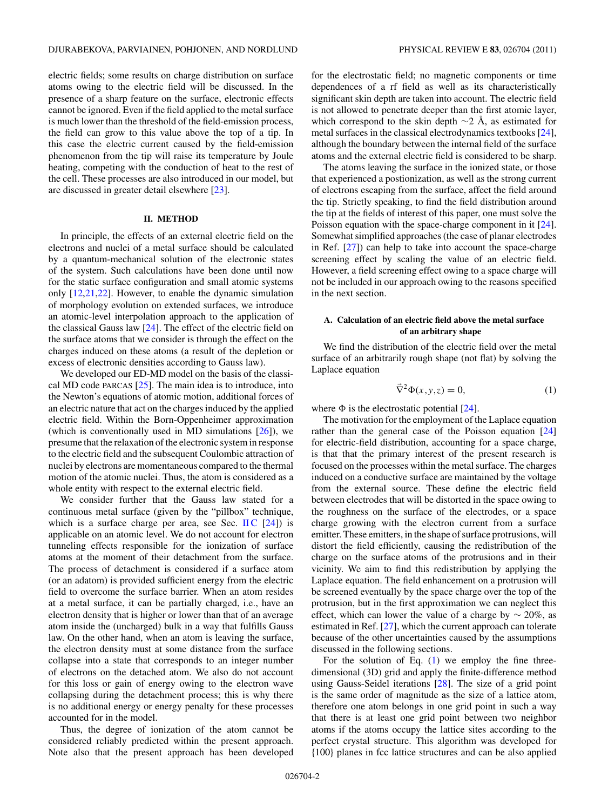<span id="page-1-0"></span>electric fields; some results on charge distribution on surface atoms owing to the electric field will be discussed. In the presence of a sharp feature on the surface, electronic effects cannot be ignored. Even if the field applied to the metal surface is much lower than the threshold of the field-emission process, the field can grow to this value above the top of a tip. In this case the electric current caused by the field-emission phenomenon from the tip will raise its temperature by Joule heating, competing with the conduction of heat to the rest of the cell. These processes are also introduced in our model, but are discussed in greater detail elsewhere [\[23\]](#page-9-0).

#### **II. METHOD**

In principle, the effects of an external electric field on the electrons and nuclei of a metal surface should be calculated by a quantum-mechanical solution of the electronic states of the system. Such calculations have been done until now for the static surface configuration and small atomic systems only [\[12,21,22\]](#page-9-0). However, to enable the dynamic simulation of morphology evolution on extended surfaces, we introduce an atomic-level interpolation approach to the application of the classical Gauss law [\[24\]](#page-9-0). The effect of the electric field on the surface atoms that we consider is through the effect on the charges induced on these atoms (a result of the depletion or excess of electronic densities according to Gauss law).

We developed our ED-MD model on the basis of the classical MD code PARCAS  $[25]$ . The main idea is to introduce, into the Newton's equations of atomic motion, additional forces of an electric nature that act on the charges induced by the applied electric field. Within the Born-Oppenheimer approximation (which is conventionally used in MD simulations [\[26\]](#page-9-0)), we presume that the relaxation of the electronic system in response to the electric field and the subsequent Coulombic attraction of nuclei by electrons are momentaneous compared to the thermal motion of the atomic nuclei. Thus, the atom is considered as a whole entity with respect to the external electric field.

We consider further that the Gauss law stated for a continuous metal surface (given by the "pillbox" technique, which is a surface charge per area, see Sec. II  $C$  [\[24\]](#page-9-0)) is applicable on an atomic level. We do not account for electron tunneling effects responsible for the ionization of surface atoms at the moment of their detachment from the surface. The process of detachment is considered if a surface atom (or an adatom) is provided sufficient energy from the electric field to overcome the surface barrier. When an atom resides at a metal surface, it can be partially charged, i.e., have an electron density that is higher or lower than that of an average atom inside the (uncharged) bulk in a way that fulfills Gauss law. On the other hand, when an atom is leaving the surface, the electron density must at some distance from the surface collapse into a state that corresponds to an integer number of electrons on the detached atom. We also do not account for this loss or gain of energy owing to the electron wave collapsing during the detachment process; this is why there is no additional energy or energy penalty for these processes accounted for in the model.

Thus, the degree of ionization of the atom cannot be considered reliably predicted within the present approach. Note also that the present approach has been developed

for the electrostatic field; no magnetic components or time dependences of a rf field as well as its characteristically significant skin depth are taken into account. The electric field is not allowed to penetrate deeper than the first atomic layer, which correspond to the skin depth  $\sim$ 2 Å, as estimated for metal surfaces in the classical electrodynamics textbooks [\[24\]](#page-9-0), although the boundary between the internal field of the surface atoms and the external electric field is considered to be sharp.

The atoms leaving the surface in the ionized state, or those that experienced a postionization, as well as the strong current of electrons escaping from the surface, affect the field around the tip. Strictly speaking, to find the field distribution around the tip at the fields of interest of this paper, one must solve the Poisson equation with the space-charge component in it [\[24\]](#page-9-0). Somewhat simplified approaches (the case of planar electrodes in Ref. [\[27\]](#page-9-0)) can help to take into account the space-charge screening effect by scaling the value of an electric field. However, a field screening effect owing to a space charge will not be included in our approach owing to the reasons specified in the next section.

# **A. Calculation of an electric field above the metal surface of an arbitrary shape**

We find the distribution of the electric field over the metal surface of an arbitrarily rough shape (not flat) by solving the Laplace equation

$$
\vec{\nabla}^2 \Phi(x, y, z) = 0,\tag{1}
$$

where  $\Phi$  is the electrostatic potential [\[24\]](#page-9-0).

The motivation for the employment of the Laplace equation rather than the general case of the Poisson equation [\[24\]](#page-9-0) for electric-field distribution, accounting for a space charge, is that that the primary interest of the present research is focused on the processes within the metal surface. The charges induced on a conductive surface are maintained by the voltage from the external source. These define the electric field between electrodes that will be distorted in the space owing to the roughness on the surface of the electrodes, or a space charge growing with the electron current from a surface emitter. These emitters, in the shape of surface protrusions, will distort the field efficiently, causing the redistribution of the charge on the surface atoms of the protrusions and in their vicinity. We aim to find this redistribution by applying the Laplace equation. The field enhancement on a protrusion will be screened eventually by the space charge over the top of the protrusion, but in the first approximation we can neglect this effect, which can lower the value of a charge by  $\sim 20\%$ , as estimated in Ref. [\[27\]](#page-9-0), which the current approach can tolerate because of the other uncertainties caused by the assumptions discussed in the following sections.

For the solution of Eq.  $(1)$  we employ the fine threedimensional (3D) grid and apply the finite-difference method using Gauss-Seidel iterations [\[28\]](#page-9-0). The size of a grid point is the same order of magnitude as the size of a lattice atom, therefore one atom belongs in one grid point in such a way that there is at least one grid point between two neighbor atoms if the atoms occupy the lattice sites according to the perfect crystal structure. This algorithm was developed for {100} planes in fcc lattice structures and can be also applied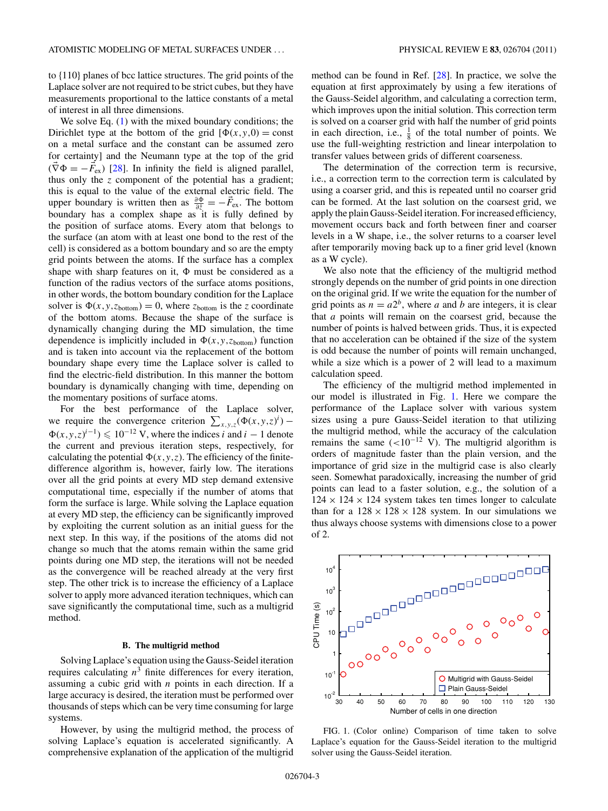to {110} planes of bcc lattice structures. The grid points of the Laplace solver are not required to be strict cubes, but they have measurements proportional to the lattice constants of a metal of interest in all three dimensions.

We solve Eq.  $(1)$  with the mixed boundary conditions; the Dirichlet type at the bottom of the grid  $[\Phi(x, y, 0)]$  = const on a metal surface and the constant can be assumed zero for certainty] and the Neumann type at the top of the grid  $(\vec{\nabla}\Phi = -\vec{F}_{\rm ex})$  [\[28\]](#page-9-0). In infinity the field is aligned parallel, thus only the *z* component of the potential has a gradient; this is equal to the value of the external electric field. The upper boundary is written then as  $\frac{\partial \Phi}{\partial \hat{z}} = -\vec{F}_{ex}$ . The bottom boundary has a complex shape as it is fully defined by the position of surface atoms. Every atom that belongs to the surface (an atom with at least one bond to the rest of the cell) is considered as a bottom boundary and so are the empty grid points between the atoms. If the surface has a complex shape with sharp features on it,  $\Phi$  must be considered as a function of the radius vectors of the surface atoms positions, in other words, the bottom boundary condition for the Laplace solver is  $\Phi(x, y, z_{bottom}) = 0$ , where  $z_{bottom}$  is the *z* coordinate of the bottom atoms. Because the shape of the surface is dynamically changing during the MD simulation, the time dependence is implicitly included in  $\Phi(x, y, z_{bottom})$  function and is taken into account via the replacement of the bottom boundary shape every time the Laplace solver is called to find the electric-field distribution. In this manner the bottom boundary is dynamically changing with time, depending on the momentary positions of surface atoms.

For the best performance of the Laplace solver, we require the convergence criterion  $\sum_{x,y,z} (\Phi(x,y,z)^i)$  –  $\Phi(x, y, z)^{i-1}$ ) ≤ 10<sup>−12</sup> V, where the indices *i* and *i* − 1 denote the current and previous iteration steps, respectively, for calculating the potential  $\Phi(x, y, z)$ . The efficiency of the finitedifference algorithm is, however, fairly low. The iterations over all the grid points at every MD step demand extensive computational time, especially if the number of atoms that form the surface is large. While solving the Laplace equation at every MD step, the efficiency can be significantly improved by exploiting the current solution as an initial guess for the next step. In this way, if the positions of the atoms did not change so much that the atoms remain within the same grid points during one MD step, the iterations will not be needed as the convergence will be reached already at the very first step. The other trick is to increase the efficiency of a Laplace solver to apply more advanced iteration techniques, which can save significantly the computational time, such as a multigrid method.

#### **B. The multigrid method**

Solving Laplace's equation using the Gauss-Seidel iteration requires calculating  $n<sup>3</sup>$  finite differences for every iteration, assuming a cubic grid with *n* points in each direction. If a large accuracy is desired, the iteration must be performed over thousands of steps which can be very time consuming for large systems.

However, by using the multigrid method, the process of solving Laplace's equation is accelerated significantly. A comprehensive explanation of the application of the multigrid

method can be found in Ref. [\[28\]](#page-9-0). In practice, we solve the equation at first approximately by using a few iterations of the Gauss-Seidel algorithm, and calculating a correction term, which improves upon the initial solution. This correction term is solved on a coarser grid with half the number of grid points in each direction, i.e.,  $\frac{1}{8}$  of the total number of points. We use the full-weighting restriction and linear interpolation to transfer values between grids of different coarseness.

The determination of the correction term is recursive, i.e., a correction term to the correction term is calculated by using a coarser grid, and this is repeated until no coarser grid can be formed. At the last solution on the coarsest grid, we apply the plain Gauss-Seidel iteration. For increased efficiency, movement occurs back and forth between finer and coarser levels in a W shape, i.e., the solver returns to a coarser level after temporarily moving back up to a finer grid level (known as a W cycle).

We also note that the efficiency of the multigrid method strongly depends on the number of grid points in one direction on the original grid. If we write the equation for the number of grid points as  $n = a2^b$ , where *a* and *b* are integers, it is clear that *a* points will remain on the coarsest grid, because the number of points is halved between grids. Thus, it is expected that no acceleration can be obtained if the size of the system is odd because the number of points will remain unchanged, while a size which is a power of 2 will lead to a maximum calculation speed.

The efficiency of the multigrid method implemented in our model is illustrated in Fig. 1. Here we compare the performance of the Laplace solver with various system sizes using a pure Gauss-Seidel iteration to that utilizing the multigrid method, while the accuracy of the calculation remains the same (*<*10<sup>−</sup><sup>12</sup> V). The multigrid algorithm is orders of magnitude faster than the plain version, and the importance of grid size in the multigrid case is also clearly seen. Somewhat paradoxically, increasing the number of grid points can lead to a faster solution, e.g., the solution of a  $124 \times 124 \times 124$  system takes ten times longer to calculate than for a  $128 \times 128 \times 128$  system. In our simulations we thus always choose systems with dimensions close to a power of 2.



FIG. 1. (Color online) Comparison of time taken to solve Laplace's equation for the Gauss-Seidel iteration to the multigrid solver using the Gauss-Seidel iteration.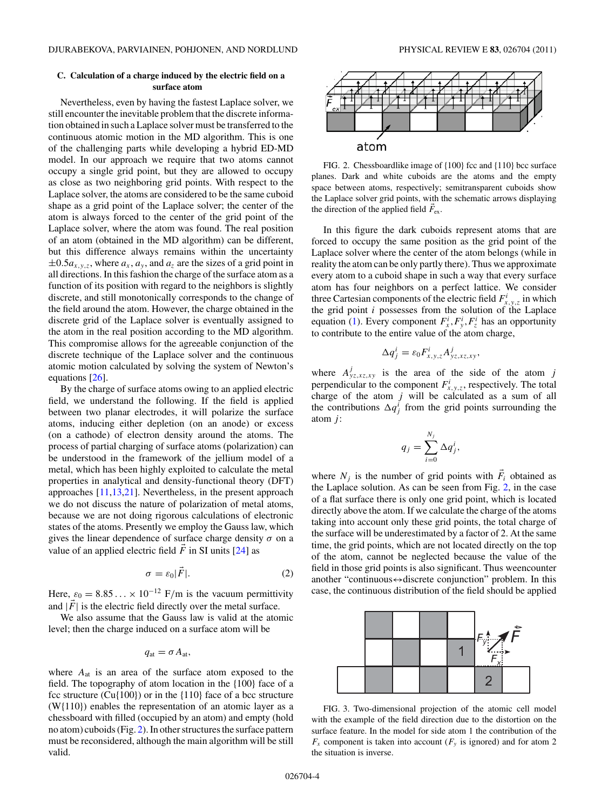# <span id="page-3-0"></span>**C. Calculation of a charge induced by the electric field on a surface atom**

Nevertheless, even by having the fastest Laplace solver, we still encounter the inevitable problem that the discrete information obtained in such a Laplace solver must be transferred to the continuous atomic motion in the MD algorithm. This is one of the challenging parts while developing a hybrid ED-MD model. In our approach we require that two atoms cannot occupy a single grid point, but they are allowed to occupy as close as two neighboring grid points. With respect to the Laplace solver, the atoms are considered to be the same cuboid shape as a grid point of the Laplace solver; the center of the atom is always forced to the center of the grid point of the Laplace solver, where the atom was found. The real position of an atom (obtained in the MD algorithm) can be different, but this difference always remains within the uncertainty  $\pm 0.5a_{x,y,z}$ , where  $a_x$ ,  $a_y$ , and  $a_z$  are the sizes of a grid point in all directions. In this fashion the charge of the surface atom as a function of its position with regard to the neighbors is slightly discrete, and still monotonically corresponds to the change of the field around the atom. However, the charge obtained in the discrete grid of the Laplace solver is eventually assigned to the atom in the real position according to the MD algorithm. This compromise allows for the agreeable conjunction of the discrete technique of the Laplace solver and the continuous atomic motion calculated by solving the system of Newton's equations [\[26\]](#page-9-0).

By the charge of surface atoms owing to an applied electric field, we understand the following. If the field is applied between two planar electrodes, it will polarize the surface atoms, inducing either depletion (on an anode) or excess (on a cathode) of electron density around the atoms. The process of partial charging of surface atoms (polarization) can be understood in the framework of the jellium model of a metal, which has been highly exploited to calculate the metal properties in analytical and density-functional theory (DFT) approaches [\[11,13,21\]](#page-9-0). Nevertheless, in the present approach we do not discuss the nature of polarization of metal atoms, because we are not doing rigorous calculations of electronic states of the atoms. Presently we employ the Gauss law, which gives the linear dependence of surface charge density *σ* on a value of an applied electric field  $\vec{F}$  in SI units [\[24\]](#page-9-0) as

$$
\sigma = \varepsilon_0 |\vec{F}|. \tag{2}
$$

Here,  $\varepsilon_0 = 8.85... \times 10^{-12}$  F/m is the vacuum permittivity and  $|\vec{F}|$  is the electric field directly over the metal surface.

We also assume that the Gauss law is valid at the atomic level; then the charge induced on a surface atom will be

$$
q_{\rm at} = \sigma A_{\rm at},
$$

where  $A_{at}$  is an area of the surface atom exposed to the field. The topography of atom location in the {100} face of a fcc structure  $(Cu\{100\})$  or in the  $\{110\}$  face of a bcc structure (W{110}) enables the representation of an atomic layer as a chessboard with filled (occupied by an atom) and empty (hold no atom) cuboids (Fig. 2). In other structures the surface pattern must be reconsidered, although the main algorithm will be still valid.



FIG. 2. Chessboardlike image of  $\{100\}$  fcc and  $\{110\}$  bcc surface planes. Dark and white cuboids are the atoms and the empty space between atoms, respectively; semitransparent cuboids show the Laplace solver grid points, with the schematic arrows displaying the direction of the applied field *F*ex.

In this figure the dark cuboids represent atoms that are forced to occupy the same position as the grid point of the Laplace solver where the center of the atom belongs (while in reality the atom can be only partly there). Thus we approximate every atom to a cuboid shape in such a way that every surface atom has four neighbors on a perfect lattice. We consider three Cartesian components of the electric field  $F^i_{x,y,z}$  in which the grid point *i* possesses from the solution of the Laplace equation [\(1\)](#page-1-0). Every component  $F_x^i$ ,  $F_y^i$ ,  $F_z^i$  has an opportunity to contribute to the entire value of the atom charge,

$$
\Delta q_j^i = \varepsilon_0 F_{x,y,z}^i A_{yz,xz,xy}^j,
$$

where  $A_{yz,xz,xy}^j$  is the area of the side of the atom *j* perpendicular to the component  $F^i_{x,y,z}$ , respectively. The total charge of the atom *j* will be calculated as a sum of all the contributions  $\Delta q_j^i$  from the grid points surrounding the atom *j* :

$$
q_j = \sum_{i=0}^{N_j} \Delta q_j^i,
$$

where  $N_i$  is the number of grid points with  $F_i$  obtained as the Laplace solution. As can be seen from Fig. 2, in the case of a flat surface there is only one grid point, which is located directly above the atom. If we calculate the charge of the atoms taking into account only these grid points, the total charge of the surface will be underestimated by a factor of 2. At the same time, the grid points, which are not located directly on the top of the atom, cannot be neglected because the value of the field in those grid points is also significant. Thus weencounter another "continuous↔discrete conjunction" problem. In this case, the continuous distribution of the field should be applied



FIG. 3. Two-dimensional projection of the atomic cell model with the example of the field direction due to the distortion on the surface feature. In the model for side atom 1 the contribution of the  $F_x$  component is taken into account ( $F_y$  is ignored) and for atom 2 the situation is inverse.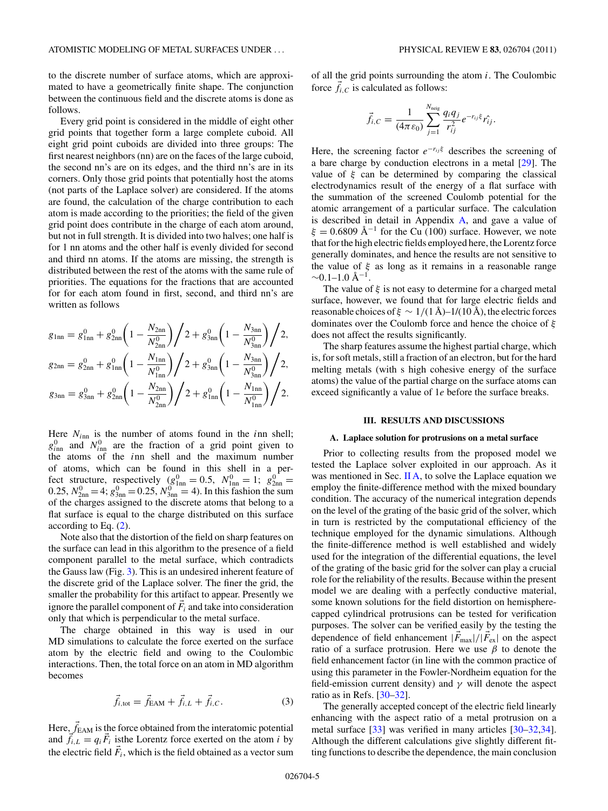<span id="page-4-0"></span>to the discrete number of surface atoms, which are approximated to have a geometrically finite shape. The conjunction between the continuous field and the discrete atoms is done as follows.

Every grid point is considered in the middle of eight other grid points that together form a large complete cuboid. All eight grid point cuboids are divided into three groups: The first nearest neighbors (nn) are on the faces of the large cuboid, the second nn's are on its edges, and the third nn's are in its corners. Only those grid points that potentially host the atoms (not parts of the Laplace solver) are considered. If the atoms are found, the calculation of the charge contribution to each atom is made according to the priorities; the field of the given grid point does contribute in the charge of each atom around, but not in full strength. It is divided into two halves; one half is for 1 nn atoms and the other half is evenly divided for second and third nn atoms. If the atoms are missing, the strength is distributed between the rest of the atoms with the same rule of priorities. The equations for the fractions that are accounted for for each atom found in first, second, and third nn's are written as follows

$$
g_{1nn} = g_{1nn}^0 + g_{2nn}^0 \left( 1 - \frac{N_{2nn}}{N_{2nn}^0} \right) / 2 + g_{3nn}^0 \left( 1 - \frac{N_{3nn}}{N_{3nn}^0} \right) / 2,
$$
  
\n
$$
g_{2nn} = g_{2nn}^0 + g_{1nn}^0 \left( 1 - \frac{N_{1nn}}{N_{1nn}^0} \right) / 2 + g_{3nn}^0 \left( 1 - \frac{N_{3nn}}{N_{3nn}^0} \right) / 2,
$$
  
\n
$$
g_{3nn} = g_{3nn}^0 + g_{2nn}^0 \left( 1 - \frac{N_{2nn}}{N_{2nn}^0} \right) / 2 + g_{1nn}^0 \left( 1 - \frac{N_{1nn}}{N_{1nn}^0} \right) / 2.
$$

Here *Ni*nn is the number of atoms found in the *i*nn shell;  $g_{\text{inn}}^0$  and  $N_{\text{inn}}^0$  are the fraction of a grid point given to the atoms of the *i*nn shell and the maximum number of atoms, which can be found in this shell in a perfect structure, respectively  $(g_{1nn}^0 = 0.5, N_{1nn}^0 = 1; g_{2nn}^0 = 0.5)$ 0.25,  $N_{2nn}^0 = 4$ ;  $g_{3nn}^0 = 0.25$ ,  $N_{3nn}^0 = 4$ ). In this fashion the sum of the charges assigned to the discrete atoms that belong to a flat surface is equal to the charge distributed on this surface according to Eq. [\(2\)](#page-3-0).

Note also that the distortion of the field on sharp features on the surface can lead in this algorithm to the presence of a field component parallel to the metal surface, which contradicts the Gauss law (Fig. [3\)](#page-3-0). This is an undesired inherent feature of the discrete grid of the Laplace solver. The finer the grid, the smaller the probability for this artifact to appear. Presently we ignore the parallel component of  $\vec{F}_i$  and take into consideration only that which is perpendicular to the metal surface.

The charge obtained in this way is used in our MD simulations to calculate the force exerted on the surface atom by the electric field and owing to the Coulombic interactions. Then, the total force on an atom in MD algorithm becomes

$$
\vec{f}_{i, \text{tot}} = \vec{f}_{\text{EAM}} + \vec{f}_{i,L} + \vec{f}_{i,C}.
$$
 (3)

Here,  $\vec{f}_{\rm EAM}$  is the force obtained from the interatomic potential and  $\vec{f}_{i,L} = q_i \vec{F}_i$  is the Lorentz force exerted on the atom *i* by the electric field  $\vec{F}_i$ , which is the field obtained as a vector sum of all the grid points surrounding the atom *i*. The Coulombic force  $\vec{f}_{i,C}$  is calculated as follows:

$$
\vec{f}_{i,C} = \frac{1}{(4\pi\epsilon_0)} \sum_{j=1}^{N_{\text{neig}}} \frac{q_i q_j}{r_{ij}^2} e^{-r_{ij}\xi} \hat{r}_{ij}.
$$

Here, the screening factor  $e^{-r_{ij}\xi}$  describes the screening of a bare charge by conduction electrons in a metal [\[29\]](#page-9-0). The value of  $\xi$  can be determined by comparing the classical electrodynamics result of the energy of a flat surface with the summation of the screened Coulomb potential for the atomic arrangement of a particular surface. The calculation is described in detail in Appendix [A,](#page-8-0) and gave a value of  $\xi = 0.6809 \text{ Å}^{-1}$  for the Cu (100) surface. However, we note that for the high electric fields employed here, the Lorentz force generally dominates, and hence the results are not sensitive to the value of  $\xi$  as long as it remains in a reasonable range  $\sim$ 0.1–1.0 Å<sup>-1</sup>.

The value of *ξ* is not easy to determine for a charged metal surface, however, we found that for large electric fields and reasonable choices of  $\xi \sim 1/(1 \text{ Å})-1/(10 \text{ Å})$ , the electric forces dominates over the Coulomb force and hence the choice of *ξ* does not affect the results significantly.

The sharp features assume the highest partial charge, which is, for soft metals, still a fraction of an electron, but for the hard melting metals (with s high cohesive energy of the surface atoms) the value of the partial charge on the surface atoms can exceed significantly a value of 1*e* before the surface breaks.

#### **III. RESULTS AND DISCUSSIONS**

#### **A. Laplace solution for protrusions on a metal surface**

Prior to collecting results from the proposed model we tested the Laplace solver exploited in our approach. As it was mentioned in Sec. [II A,](#page-1-0) to solve the Laplace equation we employ the finite-difference method with the mixed boundary condition. The accuracy of the numerical integration depends on the level of the grating of the basic grid of the solver, which in turn is restricted by the computational efficiency of the technique employed for the dynamic simulations. Although the finite-difference method is well established and widely used for the integration of the differential equations, the level of the grating of the basic grid for the solver can play a crucial role for the reliability of the results. Because within the present model we are dealing with a perfectly conductive material, some known solutions for the field distortion on hemispherecapped cylindrical protrusions can be tested for verification purposes. The solver can be verified easily by the testing the dependence of field enhancement  $|F_{\text{max}}|/|F_{\text{ex}}|$  on the aspect ratio of a surface protrusion. Here we use *β* to denote the field enhancement factor (in line with the common practice of using this parameter in the Fowler-Nordheim equation for the field-emission current density) and  $\gamma$  will denote the aspect ratio as in Refs. [\[30–](#page-9-0)[32\]](#page-10-0).

The generally accepted concept of the electric field linearly enhancing with the aspect ratio of a metal protrusion on a metal surface [\[33\]](#page-10-0) was verified in many articles [\[30](#page-9-0)[–32,34\]](#page-10-0). Although the different calculations give slightly different fitting functions to describe the dependence, the main conclusion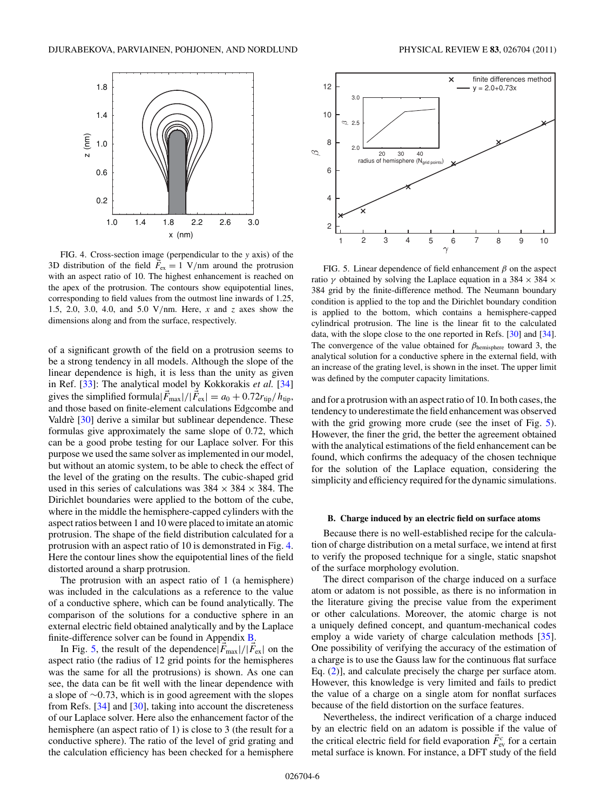<span id="page-5-0"></span>

FIG. 4. Cross-section image (perpendicular to the *y* axis) of the 3D distribution of the field  $F_{ex} = 1$  V/nm around the protrusion with an aspect ratio of 10. The highest enhancement is reached on the apex of the protrusion. The contours show equipotential lines, corresponding to field values from the outmost line inwards of 1.25, 1.5, 2.0, 3.0, 4.0, and 5.0 V*/*nm. Here, *x* and *z* axes show the dimensions along and from the surface, respectively.

of a significant growth of the field on a protrusion seems to be a strong tendency in all models. Although the slope of the linear dependence is high, it is less than the unity as given in Ref. [\[33\]](#page-10-0): The analytical model by Kokkorakis *et al.* [\[34\]](#page-10-0) gives the simplified formula $|\vec{F}_{\text{max}}|/|\vec{F}_{\text{ex}}| = a_0 + 0.72r_{\text{tip}}/h_{\text{tip}}$ , and those based on finite-element calculations Edgcombe and Valdrè  $[30]$  $[30]$  derive a similar but sublinear dependence. These formulas give approximately the same slope of 0.72, which can be a good probe testing for our Laplace solver. For this purpose we used the same solver as implemented in our model, but without an atomic system, to be able to check the effect of the level of the grating on the results. The cubic-shaped grid used in this series of calculations was  $384 \times 384 \times 384$ . The Dirichlet boundaries were applied to the bottom of the cube, where in the middle the hemisphere-capped cylinders with the aspect ratios between 1 and 10 were placed to imitate an atomic protrusion. The shape of the field distribution calculated for a protrusion with an aspect ratio of 10 is demonstrated in Fig. 4. Here the contour lines show the equipotential lines of the field distorted around a sharp protrusion.

The protrusion with an aspect ratio of 1 (a hemisphere) was included in the calculations as a reference to the value of a conductive sphere, which can be found analytically. The comparison of the solutions for a conductive sphere in an external electric field obtained analytically and by the Laplace finite-difference solver can be found in Appendix [B.](#page-9-0)

In Fig. 5, the result of the dependence $|F_{\text{max}}|/|F_{\text{ex}}|$  on the aspect ratio (the radius of 12 grid points for the hemispheres was the same for all the protrusions) is shown. As one can see, the data can be fit well with the linear dependence with a slope of ∼0*.*73, which is in good agreement with the slopes from Refs. [\[34\]](#page-10-0) and [\[30\]](#page-9-0), taking into account the discreteness of our Laplace solver. Here also the enhancement factor of the hemisphere (an aspect ratio of 1) is close to 3 (the result for a conductive sphere). The ratio of the level of grid grating and the calculation efficiency has been checked for a hemisphere



FIG. 5. Linear dependence of field enhancement *β* on the aspect ratio  $\gamma$  obtained by solving the Laplace equation in a 384  $\times$  384  $\times$ 384 grid by the finite-difference method. The Neumann boundary condition is applied to the top and the Dirichlet boundary condition is applied to the bottom, which contains a hemisphere-capped cylindrical protrusion. The line is the linear fit to the calculated data, with the slope close to the one reported in Refs. [\[30\]](#page-9-0) and [\[34\]](#page-10-0). The convergence of the value obtained for *β*hemisphere toward 3, the analytical solution for a conductive sphere in the external field, with an increase of the grating level, is shown in the inset. The upper limit was defined by the computer capacity limitations.

and for a protrusion with an aspect ratio of 10. In both cases, the tendency to underestimate the field enhancement was observed with the grid growing more crude (see the inset of Fig. 5). However, the finer the grid, the better the agreement obtained with the analytical estimations of the field enhancement can be found, which confirms the adequacy of the chosen technique for the solution of the Laplace equation, considering the simplicity and efficiency required for the dynamic simulations.

#### **B. Charge induced by an electric field on surface atoms**

Because there is no well-established recipe for the calculation of charge distribution on a metal surface, we intend at first to verify the proposed technique for a single, static snapshot of the surface morphology evolution.

The direct comparison of the charge induced on a surface atom or adatom is not possible, as there is no information in the literature giving the precise value from the experiment or other calculations. Moreover, the atomic charge is not a uniquely defined concept, and quantum-mechanical codes employ a wide variety of charge calculation methods [\[35\]](#page-10-0). One possibility of verifying the accuracy of the estimation of a charge is to use the Gauss law for the continuous flat surface Eq. [\(2\)](#page-3-0)], and calculate precisely the charge per surface atom. However, this knowledge is very limited and fails to predict the value of a charge on a single atom for nonflat surfaces because of the field distortion on the surface features.

Nevertheless, the indirect verification of a charge induced by an electric field on an adatom is possible if the value of the critical electric field for field evaporation  $\vec{F}_{ev}^c$  for a certain metal surface is known. For instance, a DFT study of the field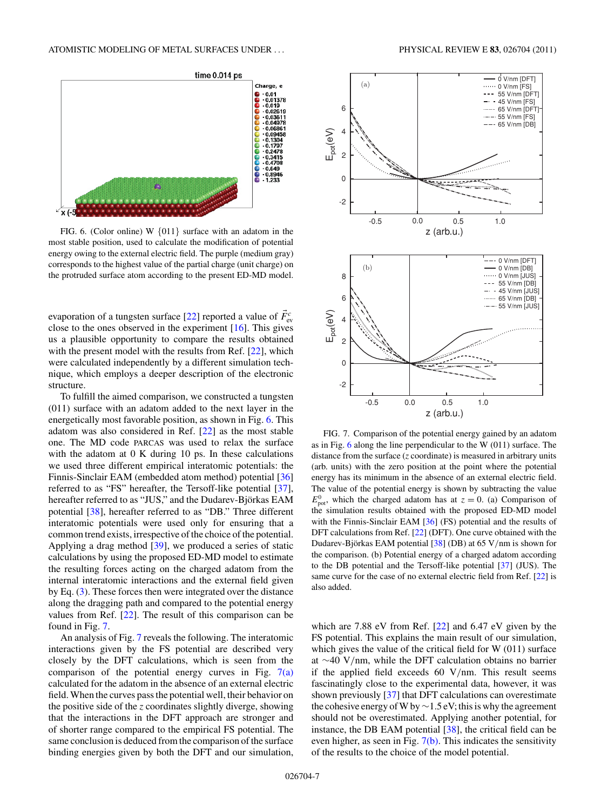<span id="page-6-0"></span>

FIG. 6. (Color online) W {011} surface with an adatom in the most stable position, used to calculate the modification of potential energy owing to the external electric field. The purple (medium gray) corresponds to the highest value of the partial charge (unit charge) on the protruded surface atom according to the present ED-MD model.

evaporation of a tungsten surface [\[22\]](#page-9-0) reported a value of  $\vec{F}_{ev}^c$ close to the ones observed in the experiment  $[16]$ . This gives us a plausible opportunity to compare the results obtained with the present model with the results from Ref. [\[22\]](#page-9-0), which were calculated independently by a different simulation technique, which employs a deeper description of the electronic structure.

To fulfill the aimed comparison, we constructed a tungsten (011) surface with an adatom added to the next layer in the energetically most favorable position, as shown in Fig. 6. This adatom was also considered in Ref. [\[22\]](#page-9-0) as the most stable one. The MD code PARCAS was used to relax the surface with the adatom at 0 K during 10 ps. In these calculations we used three different empirical interatomic potentials: the Finnis-Sinclair EAM (embedded atom method) potential [\[36\]](#page-10-0) referred to as "FS" hereafter, the Tersoff-like potential [\[37\]](#page-10-0), hereafter referred to as "JUS," and the Dudarev-Björkas EAM potential [\[38\]](#page-10-0), hereafter referred to as "DB." Three different interatomic potentials were used only for ensuring that a common trend exists, irrespective of the choice of the potential. Applying a drag method [\[39\]](#page-10-0), we produced a series of static calculations by using the proposed ED-MD model to estimate the resulting forces acting on the charged adatom from the internal interatomic interactions and the external field given by Eq.  $(3)$ . These forces then were integrated over the distance along the dragging path and compared to the potential energy values from Ref. [\[22\]](#page-9-0). The result of this comparison can be found in Fig. 7.

An analysis of Fig. 7 reveals the following. The interatomic interactions given by the FS potential are described very closely by the DFT calculations, which is seen from the comparison of the potential energy curves in Fig.  $7(a)$ calculated for the adatom in the absence of an external electric field. When the curves pass the potential well, their behavior on the positive side of the *z* coordinates slightly diverge, showing that the interactions in the DFT approach are stronger and of shorter range compared to the empirical FS potential. The same conclusion is deduced from the comparison of the surface binding energies given by both the DFT and our simulation,



FIG. 7. Comparison of the potential energy gained by an adatom as in Fig. 6 along the line perpendicular to the W (011) surface. The distance from the surface (*z* coordinate) is measured in arbitrary units (arb. units) with the zero position at the point where the potential energy has its minimum in the absence of an external electric field. The value of the potential energy is shown by subtracting the value  $E_{\text{pot}}^0$ , which the charged adatom has at  $z = 0$ . (a) Comparison of the simulation results obtained with the proposed ED-MD model with the Finnis-Sinclair EAM [\[36\]](#page-10-0) (FS) potential and the results of DFT calculations from Ref. [\[22\]](#page-9-0) (DFT). One curve obtained with the Dudarev-Björkas EAM potential [[38\]](#page-10-0) (DB) at 65 V/nm is shown for the comparison. (b) Potential energy of a charged adatom according to the DB potential and the Tersoff-like potential [\[37\]](#page-10-0) (JUS). The same curve for the case of no external electric field from Ref. [\[22\]](#page-9-0) is also added.

which are 7.88 eV from Ref. [\[22\]](#page-9-0) and 6.47 eV given by the FS potential. This explains the main result of our simulation, which gives the value of the critical field for W (011) surface at ∼40 V*/*nm, while the DFT calculation obtains no barrier if the applied field exceeds 60 V*/*nm. This result seems fascinatingly close to the experimental data, however, it was shown previously [\[37\]](#page-10-0) that DFT calculations can overestimate the cohesive energy ofW by∼1.5 eV; this is why the agreement should not be overestimated. Applying another potential, for instance, the DB EAM potential [\[38\]](#page-10-0), the critical field can be even higher, as seen in Fig.  $7(b)$ . This indicates the sensitivity of the results to the choice of the model potential.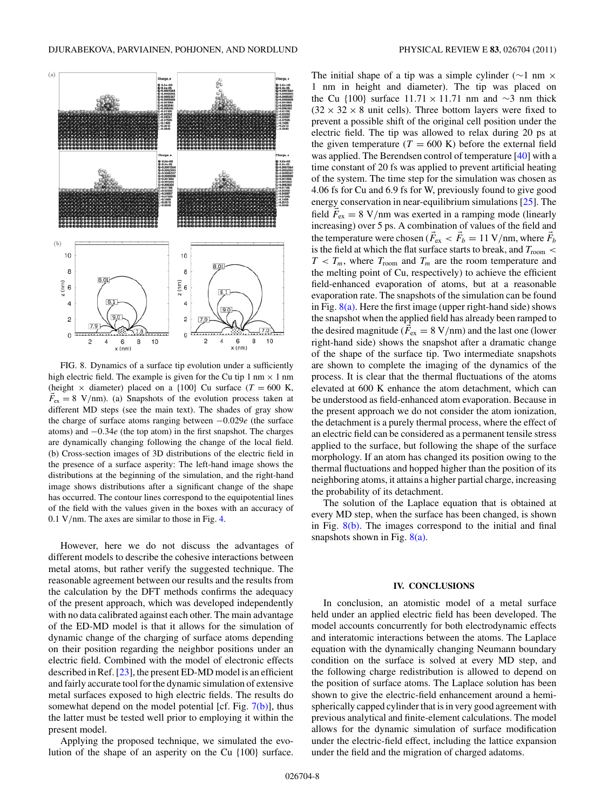

FIG. 8. Dynamics of a surface tip evolution under a sufficiently high electric field. The example is given for the Cu tip 1 nm  $\times$  1 nm (height  $\times$  diameter) placed on a {100} Cu surface ( $T = 600$  K,  $\vec{F}_{\text{ex}} = 8$  V/nm). (a) Snapshots of the evolution process taken at different MD steps (see the main text). The shades of gray show the charge of surface atoms ranging between −0*.*029*e* (the surface atoms) and −0*.*34*e* (the top atom) in the first snapshot. The charges are dynamically changing following the change of the local field. (b) Cross-section images of 3D distributions of the electric field in the presence of a surface asperity: The left-hand image shows the distributions at the beginning of the simulation, and the right-hand image shows distributions after a significant change of the shape has occurred. The contour lines correspond to the equipotential lines of the field with the values given in the boxes with an accuracy of 0.1 V*/*nm. The axes are similar to those in Fig. [4.](#page-5-0)

However, here we do not discuss the advantages of different models to describe the cohesive interactions between metal atoms, but rather verify the suggested technique. The reasonable agreement between our results and the results from the calculation by the DFT methods confirms the adequacy of the present approach, which was developed independently with no data calibrated against each other. The main advantage of the ED-MD model is that it allows for the simulation of dynamic change of the charging of surface atoms depending on their position regarding the neighbor positions under an electric field. Combined with the model of electronic effects described in Ref. [\[23\]](#page-9-0), the present ED-MD model is an efficient and fairly accurate tool for the dynamic simulation of extensive metal surfaces exposed to high electric fields. The results do somewhat depend on the model potential [cf. Fig.  $7(b)$ ], thus the latter must be tested well prior to employing it within the present model.

Applying the proposed technique, we simulated the evolution of the shape of an asperity on the Cu {100} surface. The initial shape of a tip was a simple cylinder ( $\sim$ 1 nm  $\times$ 1 nm in height and diameter). The tip was placed on the Cu {100} surface 11*.*71 × 11*.*71 nm and ∼3 nm thick  $(32 \times 32 \times 8)$  unit cells). Three bottom layers were fixed to prevent a possible shift of the original cell position under the electric field. The tip was allowed to relax during 20 ps at the given temperature  $(T = 600 \text{ K})$  before the external field was applied. The Berendsen control of temperature [\[40\]](#page-10-0) with a time constant of 20 fs was applied to prevent artificial heating of the system. The time step for the simulation was chosen as 4.06 fs for Cu and 6.9 fs for W, previously found to give good energy conservation in near-equilibrium simulations [\[25\]](#page-9-0). The field  $\hat{F}_{ex} = 8 \text{ V/mm}$  was exerted in a ramping mode (linearly increasing) over 5 ps. A combination of values of the field and the temperature were chosen ( $\vec{F}_{ex} < \vec{F}_b = 11$  V/nm, where  $\vec{F}_b$ ) is the field at which the flat surface starts to break, and *T*room *<*  $T < T_m$ , where  $T_{\text{room}}$  and  $T_m$  are the room temperature and the melting point of Cu, respectively) to achieve the efficient field-enhanced evaporation of atoms, but at a reasonable evaporation rate. The snapshots of the simulation can be found in Fig.  $8(a)$ . Here the first image (upper right-hand side) shows the snapshot when the applied field has already been ramped to the desired magnitude ( $\vec{F}_{ex} = 8 \text{ V/mm}$ ) and the last one (lower right-hand side) shows the snapshot after a dramatic change of the shape of the surface tip. Two intermediate snapshots are shown to complete the imaging of the dynamics of the process. It is clear that the thermal fluctuations of the atoms elevated at 600 K enhance the atom detachment, which can be understood as field-enhanced atom evaporation. Because in the present approach we do not consider the atom ionization, the detachment is a purely thermal process, where the effect of an electric field can be considered as a permanent tensile stress applied to the surface, but following the shape of the surface morphology. If an atom has changed its position owing to the thermal fluctuations and hopped higher than the position of its neighboring atoms, it attains a higher partial charge, increasing the probability of its detachment.

The solution of the Laplace equation that is obtained at every MD step, when the surface has been changed, is shown in Fig. 8(b). The images correspond to the initial and final snapshots shown in Fig.  $8(a)$ .

#### **IV. CONCLUSIONS**

In conclusion, an atomistic model of a metal surface held under an applied electric field has been developed. The model accounts concurrently for both electrodynamic effects and interatomic interactions between the atoms. The Laplace equation with the dynamically changing Neumann boundary condition on the surface is solved at every MD step, and the following charge redistribution is allowed to depend on the position of surface atoms. The Laplace solution has been shown to give the electric-field enhancement around a hemispherically capped cylinder that is in very good agreement with previous analytical and finite-element calculations. The model allows for the dynamic simulation of surface modification under the electric-field effect, including the lattice expansion under the field and the migration of charged adatoms.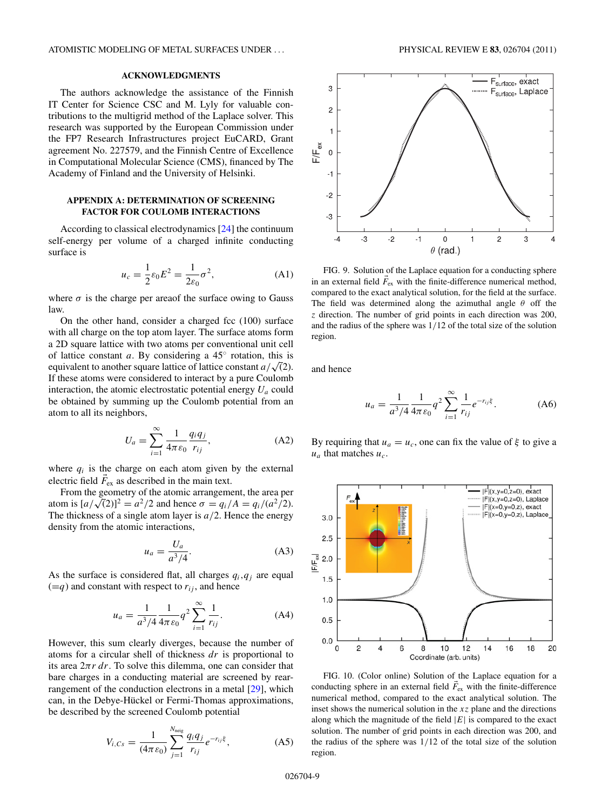## **ACKNOWLEDGMENTS**

<span id="page-8-0"></span>The authors acknowledge the assistance of the Finnish IT Center for Science CSC and M. Lyly for valuable contributions to the multigrid method of the Laplace solver. This research was supported by the European Commission under the FP7 Research Infrastructures project EuCARD, Grant agreement No. 227579, and the Finnish Centre of Excellence in Computational Molecular Science (CMS), financed by The Academy of Finland and the University of Helsinki.

## **APPENDIX A: DETERMINATION OF SCREENING FACTOR FOR COULOMB INTERACTIONS**

According to classical electrodynamics [\[24\]](#page-9-0) the continuum self-energy per volume of a charged infinite conducting surface is

$$
u_c = \frac{1}{2}\varepsilon_0 E^2 = \frac{1}{2\varepsilon_0}\sigma^2,
$$
 (A1)

where  $\sigma$  is the charge per areaof the surface owing to Gauss law.

On the other hand, consider a charged fcc (100) surface with all charge on the top atom layer. The surface atoms form a 2D square lattice with two atoms per conventional unit cell of lattice constant *a*. By considering a 45◦ rotation, this is equivalent to another square lattice of lattice constant  $a/\sqrt{2}$ . If these atoms were considered to interact by a pure Coulomb interaction, the atomic electrostatic potential energy  $U_a$  could be obtained by summing up the Coulomb potential from an atom to all its neighbors,

$$
U_a = \sum_{i=1}^{\infty} \frac{1}{4\pi \varepsilon_0} \frac{q_i q_j}{r_{ij}},
$$
 (A2)

where  $q_i$  is the charge on each atom given by the external electric field  $\vec{F}_{\text{ex}}$  as described in the main text.

From the geometry of the atomic arrangement, the area per atom is  $[a/\sqrt{2}]^2 = a^2/2$  and hence  $\sigma = q_i/A = q_i/(a^2/2)$ . The thickness of a single atom layer is *a/*2. Hence the energy density from the atomic interactions,

$$
u_a = \frac{U_a}{a^3/4}.\tag{A3}
$$

As the surface is considered flat, all charges  $q_i, q_j$  are equal  $(=q)$  and constant with respect to  $r_{ij}$ , and hence

$$
u_a = \frac{1}{a^3/4} \frac{1}{4\pi\varepsilon_0} q^2 \sum_{i=1}^{\infty} \frac{1}{r_{ij}}.
$$
 (A4)

However, this sum clearly diverges, because the number of atoms for a circular shell of thickness *dr* is proportional to its area  $2\pi r dr$ . To solve this dilemma, one can consider that bare charges in a conducting material are screened by rear-rangement of the conduction electrons in a metal [\[29\]](#page-9-0), which can, in the Debye-Hückel or Fermi-Thomas approximations, be described by the screened Coulomb potential

$$
V_{i,Cs} = \frac{1}{(4\pi\epsilon_0)} \sum_{j=1}^{N_{\text{neig}}} \frac{q_i q_j}{r_{ij}} e^{-r_{ij}\xi},
$$
 (A5)



FIG. 9. Solution of the Laplace equation for a conducting sphere in an external field  $\vec{F}_{ex}$  with the finite-difference numerical method, compared to the exact analytical solution, for the field at the surface. The field was determined along the azimuthal angle *θ* off the *z* direction. The number of grid points in each direction was 200, and the radius of the sphere was 1*/*12 of the total size of the solution region.

and hence

$$
u_a = \frac{1}{a^3/4} \frac{1}{4\pi\varepsilon_0} q^2 \sum_{i=1}^{\infty} \frac{1}{r_{ij}} e^{-r_{ij}\xi}.
$$
 (A6)

By requiring that  $u_a = u_c$ , one can fix the value of  $\xi$  to give a  $u_a$  that matches  $u_c$ .



FIG. 10. (Color online) Solution of the Laplace equation for a conducting sphere in an external field  $\vec{F}_{ex}$  with the finite-difference numerical method, compared to the exact analytical solution. The inset shows the numerical solution in the *xz* plane and the directions along which the magnitude of the field  $|E|$  is compared to the exact solution. The number of grid points in each direction was 200, and the radius of the sphere was 1*/*12 of the total size of the solution region.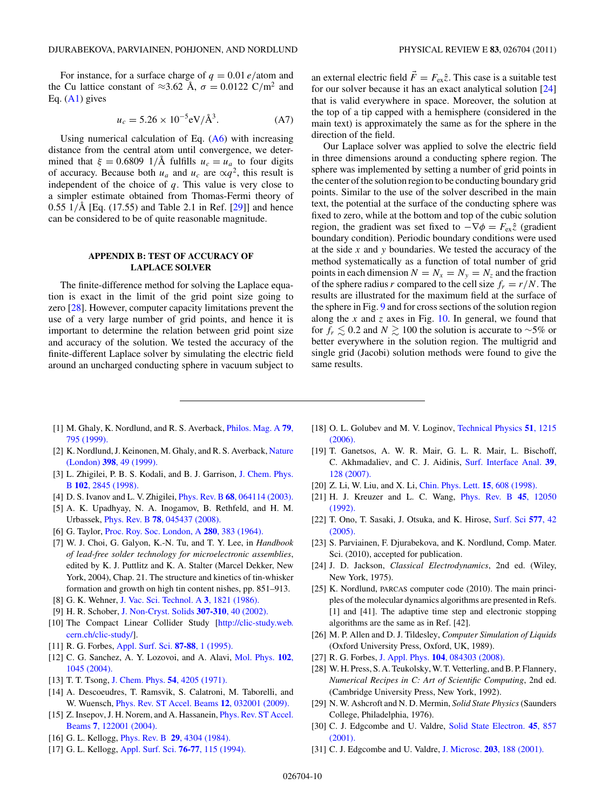<span id="page-9-0"></span>For instance, for a surface charge of  $q = 0.01 e/$ atom and the Cu lattice constant of ≈3.62 Å,  $\sigma = 0.0122 \text{ C/m}^2$  and Eq.  $(A1)$  gives

$$
u_c = 5.26 \times 10^{-5} \, \text{eV} / \text{\AA}^3. \tag{A7}
$$

Using numerical calculation of Eq.  $(A6)$  with increasing distance from the central atom until convergence, we determined that  $\xi = 0.6809$  1/Å fulfills  $u_c = u_a$  to four digits of accuracy. Because both  $u_a$  and  $u_c$  are  $\propto q^2$ , this result is independent of the choice of *q*. This value is very close to a simpler estimate obtained from Thomas-Fermi theory of  $0.55$   $1/\text{\AA}$  [Eq. (17.55) and Table 2.1 in Ref. [29]] and hence can be considered to be of quite reasonable magnitude.

#### **APPENDIX B: TEST OF ACCURACY OF LAPLACE SOLVER**

The finite-difference method for solving the Laplace equation is exact in the limit of the grid point size going to zero [28]. However, computer capacity limitations prevent the use of a very large number of grid points, and hence it is important to determine the relation between grid point size and accuracy of the solution. We tested the accuracy of the finite-different Laplace solver by simulating the electric field around an uncharged conducting sphere in vacuum subject to

an external electric field  $\vec{F} = F_{ex}\hat{z}$ . This case is a suitable test for our solver because it has an exact analytical solution [24] that is valid everywhere in space. Moreover, the solution at the top of a tip capped with a hemisphere (considered in the main text) is approximately the same as for the sphere in the direction of the field.

Our Laplace solver was applied to solve the electric field in three dimensions around a conducting sphere region. The sphere was implemented by setting a number of grid points in the center of the solution region to be conducting boundary grid points. Similar to the use of the solver described in the main text, the potential at the surface of the conducting sphere was fixed to zero, while at the bottom and top of the cubic solution region, the gradient was set fixed to  $-\nabla \phi = F_{\text{ex}}\hat{z}$  (gradient boundary condition). Periodic boundary conditions were used at the side *x* and *y* boundaries. We tested the accuracy of the method systematically as a function of total number of grid points in each dimension  $N = N_x = N_y = N_z$  and the fraction of the sphere radius *r* compared to the cell size  $f_r = r/N$ . The results are illustrated for the maximum field at the surface of the sphere in Fig. [9](#page-8-0) and for cross sections of the solution region along the *x* and *z* axes in Fig. [10.](#page-8-0) In general, we found that for  $f_r \lesssim 0.2$  and  $N \gtrsim 100$  the solution is accurate to ∼5% or better everywhere in the solution region. The multigrid and single grid (Jacobi) solution methods were found to give the same results.

- [1] M. Ghaly, K. Nordlund, and R. S. Averback, [Philos. Mag. A](http://dx.doi.org/10.1080/01418619908210332) **79**, [795 \(1999\).](http://dx.doi.org/10.1080/01418619908210332)
- [2] K. Nordlund, J. Keinonen, M. Ghaly, and R. S. Averback, [Nature](http://dx.doi.org/10.1038/17983) (London) **398**[, 49 \(1999\).](http://dx.doi.org/10.1038/17983)
- [3] L. Zhigilei, P. B. S. Kodali, and B. J. Garrison, [J. Chem. Phys.](http://dx.doi.org/10.1021/jp9733781) B **102**[, 2845 \(1998\).](http://dx.doi.org/10.1021/jp9733781)
- [4] D. S. Ivanov and L. V. Zhigilei, Phys. Rev. B **68**[, 064114 \(2003\).](http://dx.doi.org/10.1103/PhysRevB.68.064114)
- [5] A. K. Upadhyay, N. A. Inogamov, B. Rethfeld, and H. M. Urbassek, Phys. Rev. B **78**[, 045437 \(2008\).](http://dx.doi.org/10.1103/PhysRevB.78.045437)
- [6] G. Taylor, [Proc. Roy. Soc. London, A](http://dx.doi.org/10.1098/rspa.1964.0151) **280**, 383 (1964).
- [7] W. J. Choi, G. Galyon, K.-N. Tu, and T. Y. Lee, in *Handbook of lead-free solder technology for microelectronic assemblies*, edited by K. J. Puttlitz and K. A. Stalter (Marcel Dekker, New York, 2004), Chap. 21. The structure and kinetics of tin-whisker formation and growth on high tin content nishes, pp. 851–913.
- [8] G. K. Wehner, [J. Vac. Sci. Technol. A](http://dx.doi.org/10.1116/1.573386) **3**, 1821 (1986).
- [9] H. R. Schober, [J. Non-Cryst. Solids](http://dx.doi.org/10.1016/S0022-3093(02)01438-2) **307-310**, 40 (2002).
- [10] The Compact Linear Collider Study [\[http://clic-study.web.](http://clic-study.web.cern.ch/clic-study/) [cern.ch/clic-study/\]](http://clic-study.web.cern.ch/clic-study/).
- [11] R. G. Forbes, [Appl. Surf. Sci.](http://dx.doi.org/10.1016/0169-4332(94)00526-5) **87-88**, 1 (1995).
- [12] C. G. Sanchez, A. Y. Lozovoi, and A. Alavi, [Mol. Phys.](http://dx.doi.org/10.1080/00268970410001727673) **102**, [1045 \(2004\).](http://dx.doi.org/10.1080/00268970410001727673)
- [13] T. T. Tsong, [J. Chem. Phys.](http://dx.doi.org/10.1063/1.1674660) **54**, 4205 (1971).
- [14] A. Descoeudres, T. Ramsvik, S. Calatroni, M. Taborelli, and W. Wuensch, [Phys. Rev. ST Accel. Beams](http://dx.doi.org/10.1103/PhysRevSTAB.12.032001) **12**, 032001 (2009).
- [15] Z. Insepov, J. H. Norem, and A. Hassanein, *[Phys. Rev. ST Accel.](http://dx.doi.org/10.1103/PhysRevSTAB.7.122001)* Beams **7**[, 122001 \(2004\).](http://dx.doi.org/10.1103/PhysRevSTAB.7.122001)
- [16] G. L. Kellogg, Phys. Rev. B **29**[, 4304 \(1984\).](http://dx.doi.org/10.1103/PhysRevB.29.4304)
- [17] G. L. Kellogg, [Appl. Surf. Sci.](http://dx.doi.org/10.1016/0169-4332(94)90331-X) **76-77**, 115 (1994).
- [18] O. L. Golubev and M. V. Loginov, [Technical Physics](http://dx.doi.org/10.1134/S1063784206090180) **51**, 1215 [\(2006\).](http://dx.doi.org/10.1134/S1063784206090180)
- [19] T. Ganetsos, A. W. R. Mair, G. L. R. Mair, L. Bischoff, C. Akhmadaliev, and C. J. Aidinis, [Surf. Interface Anal.](http://dx.doi.org/10.1002/sia.2474) **39**, [128 \(2007\).](http://dx.doi.org/10.1002/sia.2474)
- [20] Z. Li, W. Liu, and X. Li, [Chin. Phys. Lett.](http://dx.doi.org/10.1088/0256-307X/15/8/023) **15**, 608 (1998).
- [21] H. J. Kreuzer and L. C. Wang, [Phys. Rev. B](http://dx.doi.org/10.1103/PhysRevB.45.12050) **45**, 12050 [\(1992\).](http://dx.doi.org/10.1103/PhysRevB.45.12050)
- [22] T. Ono, T. Sasaki, J. Otsuka, and K. Hirose, [Surf. Sci](http://dx.doi.org/10.1016/j.susc.2004.12.024) **577**, 42 [\(2005\).](http://dx.doi.org/10.1016/j.susc.2004.12.024)
- [23] S. Parviainen, F. Djurabekova, and K. Nordlund, Comp. Mater. Sci. (2010), accepted for publication.
- [24] J. D. Jackson, *Classical Electrodynamics*, 2nd ed. (Wiley, New York, 1975).
- [25] K. Nordlund, PARCAS computer code (2010). The main principles of the molecular dynamics algorithms are presented in Refs. [1] and [41]. The adaptive time step and electronic stopping algorithms are the same as in Ref. [42].
- [26] M. P. Allen and D. J. Tildesley, *Computer Simulation of Liquids* (Oxford University Press, Oxford, UK, 1989).
- [27] R. G. Forbes, J. Appl. Phys. **104**[, 084303 \(2008\).](http://dx.doi.org/10.1063/1.2996005)
- [28] W. H. Press, S. A. Teukolsky, W. T. Vetterling, and B. P. Flannery, *Numerical Recipes in C: Art of Scientific Computing*, 2nd ed. (Cambridge University Press, New York, 1992).
- [29] N. W. Ashcroft and N. D. Mermin, *Solid State Physics*(Saunders College, Philadelphia, 1976).
- [30] C. J. Edgcombe and U. Valdre, [Solid State Electron.](http://dx.doi.org/10.1016/S0038-1101(00)00212-4) **45**, 857 [\(2001\).](http://dx.doi.org/10.1016/S0038-1101(00)00212-4)
- [31] C. J. Edgcombe and U. Valdre, J. Microsc. **203**[, 188 \(2001\).](http://dx.doi.org/10.1046/j.1365-2818.2001.00890.x)